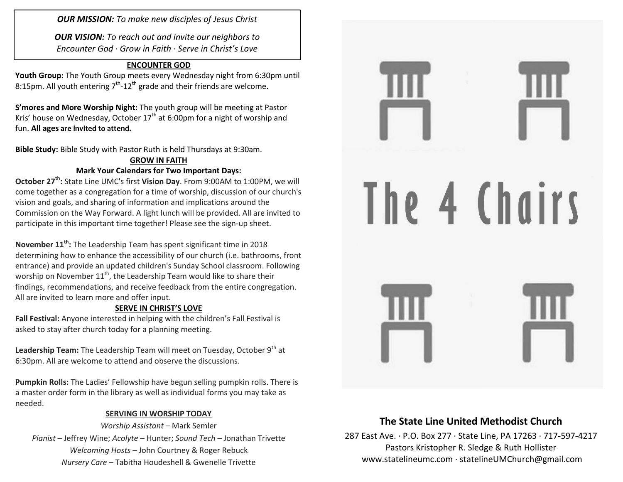*OUR MISSION: To make new disciples of Jesus Christ*

*OUR VISION: To reach out and invite our neighbors to Encounter God · Grow in Faith · Serve in Christ's Love*

#### **ENCOUNTER GOD**

**Youth Group:** The Youth Group meets every Wednesday night from 6:30pm until 8:15pm. All youth entering  $7<sup>th</sup>$ -12<sup>th</sup> grade and their friends are welcome.

**S'mores and More Worship Night:** The youth group will be meeting at Pastor Kris' house on Wednesday, October  $17<sup>th</sup>$  at 6:00pm for a night of worship and fun. **All ages are invited to attend.**

**Bible Study:** Bible Study with Pastor Ruth is held Thursdays at 9:30am.

## **GROW IN FAITH Mark Your Calendars for Two Important Days:**

**October 27th:** State Line UMC's first **Vision Day**. From 9:00AM to 1:00PM, we will come together as a congregation for a time of worship, discussion of our church's vision and goals, and sharing of information and implications around the Commission on the Way Forward. A light lunch will be provided. All are invited to participate in this important time together! Please see the sign-up sheet.

**November 11th:** The Leadership Team has spent significant time in 2018 determining how to enhance the accessibility of our church (i.e. bathrooms, front entrance) and provide an updated children's Sunday School classroom. Following worship on November  $11<sup>th</sup>$ , the Leadership Team would like to share their findings, recommendations, and receive feedback from the entire congregation. All are invited to learn more and offer input.

### **SERVE IN CHRIST'S LOVE**

**Fall Festival:** Anyone interested in helping with the children's Fall Festival is asked to stay after church today for a planning meeting.

**Leadership Team:** The Leadership Team will meet on Tuesday, October 9<sup>th</sup> at 6:30pm. All are welcome to attend and observe the discussions.

**Pumpkin Rolls:** The Ladies' Fellowship have begun selling pumpkin rolls. There is a master order form in the library as well as individual forms you may take as needed.

### **SERVING IN WORSHIP TODAY**

*Worship Assistant* – Mark Semler *Pianist* – Jeffrey Wine; *Acolyte* – Hunter; *Sound Tech* – Jonathan Trivette *Welcoming Hosts* – John Courtney & Roger Rebuck *Nursery Care* – Tabitha Houdeshell & Gwenelle Trivette



# **The State Line United Methodist Church**

287 East Ave. · P.O. Box 277 · State Line, PA 17263 · 717-597-4217 Pastors Kristopher R. Sledge & Ruth Hollister [www.statelineumc.com](http://www.statelineumc.com/) · statelineUMChurch@gmail.com